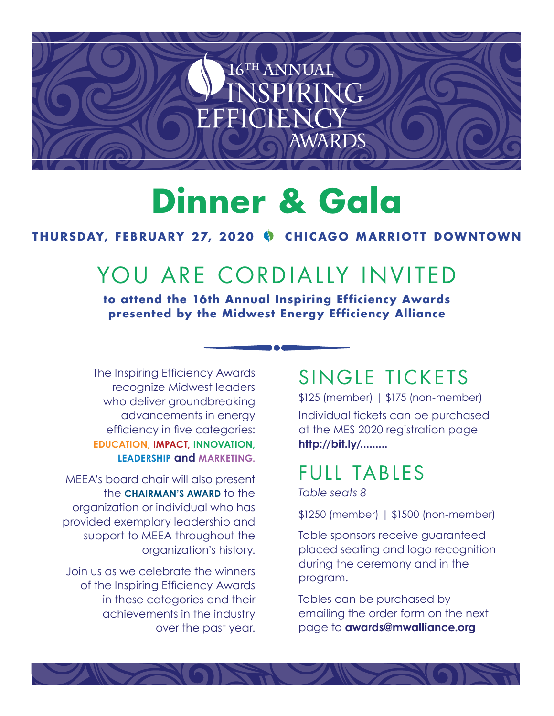

# **Dinner & Gala**

#### **THURSDAY, FEBRUARY 27, 2020 CHICAGO MARRIOTT DOWNTOWN**

## YOU ARE CORDIALLY INVITED

**to attend the 16th Annual Inspiring Efficiency Awards presented by the Midwest Energy Efficiency Alliance**

The Inspiring Efficiency Awards recognize Midwest leaders who deliver groundbreaking advancements in energy efficiency in five categories: **EDUCATION, IMPACT, INNOVATION, LEADERSHIP and MARKETING.**

MEEA's board chair will also present the **CHAIRMAN'S AWARD** to the organization or individual who has provided exemplary leadership and support to MEEA throughout the organization's history.

Join us as we celebrate the winners of the Inspiring Efficiency Awards in these categories and their achievements in the industry over the past year.

### SINGLE TICKETS

\$125 (member) | \$175 (non-member) Individual tickets can be purchased at the MES 2020 registration page **http://bit.ly/.........**

### FULL TABLES

*Table seats 8*

\$1250 (member) | \$1500 (non-member)

Table sponsors receive guaranteed placed seating and logo recognition during the ceremony and in the program.

Tables can be purchased by emailing the order form on the next page to **awards@mwalliance.org**